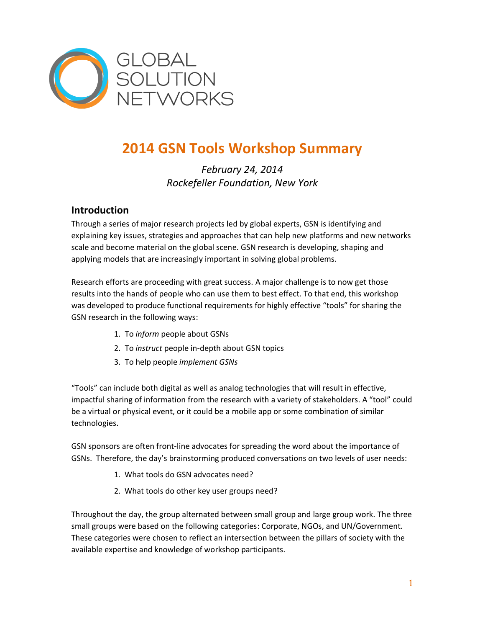

# **2014 GSN Tools Workshop Summary**

# *February 24, 2014 Rockefeller Foundation, New York*

# **Introduction**

Through a series of major research projects led by global experts, GSN is identifying and explaining key issues, strategies and approaches that can help new platforms and new networks scale and become material on the global scene. GSN research is developing, shaping and applying models that are increasingly important in solving global problems.

Research efforts are proceeding with great success. A major challenge is to now get those results into the hands of people who can use them to best effect. To that end, this workshop was developed to produce functional requirements for highly effective "tools" for sharing the GSN research in the following ways:

- 1. To *inform* people about GSNs
- 2. To *instruct* people in-depth about GSN topics
- 3. To help people *implement GSNs*

"Tools" can include both digital as well as analog technologies that will result in effective, impactful sharing of information from the research with a variety of stakeholders. A "tool" could be a virtual or physical event, or it could be a mobile app or some combination of similar technologies.

GSN sponsors are often front-line advocates for spreading the word about the importance of GSNs. Therefore, the day's brainstorming produced conversations on two levels of user needs:

- 1. What tools do GSN advocates need?
- 2. What tools do other key user groups need?

Throughout the day, the group alternated between small group and large group work. The three small groups were based on the following categories: Corporate, NGOs, and UN/Government. These categories were chosen to reflect an intersection between the pillars of society with the available expertise and knowledge of workshop participants.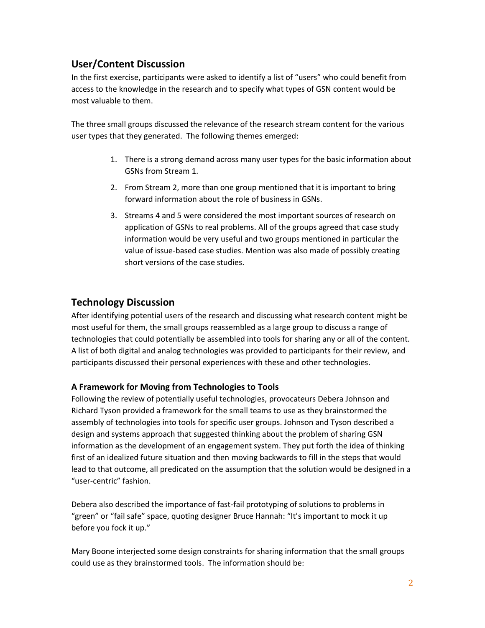# **User/Content Discussion**

In the first exercise, participants were asked to identify a list of "users" who could benefit from access to the knowledge in the research and to specify what types of GSN content would be most valuable to them.

The three small groups discussed the relevance of the research stream content for the various user types that they generated. The following themes emerged:

- 1. There is a strong demand across many user types for the basic information about GSNs from Stream 1.
- 2. From Stream 2, more than one group mentioned that it is important to bring forward information about the role of business in GSNs.
- 3. Streams 4 and 5 were considered the most important sources of research on application of GSNs to real problems. All of the groups agreed that case study information would be very useful and two groups mentioned in particular the value of issue-based case studies. Mention was also made of possibly creating short versions of the case studies.

# **Technology Discussion**

After identifying potential users of the research and discussing what research content might be most useful for them, the small groups reassembled as a large group to discuss a range of technologies that could potentially be assembled into tools for sharing any or all of the content. A list of both digital and analog technologies was provided to participants for their review, and participants discussed their personal experiences with these and other technologies.

## **A Framework for Moving from Technologies to Tools**

Following the review of potentially useful technologies, provocateurs Debera Johnson and Richard Tyson provided a framework for the small teams to use as they brainstormed the assembly of technologies into tools for specific user groups. Johnson and Tyson described a design and systems approach that suggested thinking about the problem of sharing GSN information as the development of an engagement system. They put forth the idea of thinking first of an idealized future situation and then moving backwards to fill in the steps that would lead to that outcome, all predicated on the assumption that the solution would be designed in a "user-centric" fashion.

Debera also described the importance of fast-fail prototyping of solutions to problems in "green" or "fail safe" space, quoting designer Bruce Hannah: "It's important to mock it up before you fock it up."

Mary Boone interjected some design constraints for sharing information that the small groups could use as they brainstormed tools. The information should be: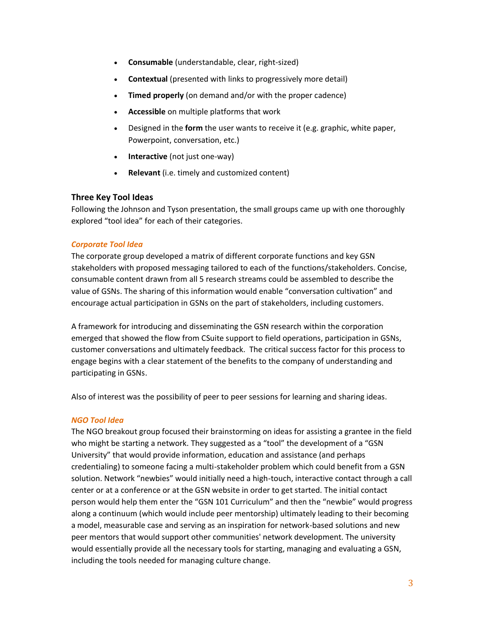- **Consumable** (understandable, clear, right-sized)
- **Contextual** (presented with links to progressively more detail)
- **Timed properly** (on demand and/or with the proper cadence)
- **Accessible** on multiple platforms that work
- Designed in the **form** the user wants to receive it (e.g. graphic, white paper, Powerpoint, conversation, etc.)
- **Interactive** (not just one-way)
- **Relevant** (i.e. timely and customized content)

#### **Three Key Tool Ideas**

Following the Johnson and Tyson presentation, the small groups came up with one thoroughly explored "tool idea" for each of their categories.

#### *Corporate Tool Idea*

The corporate group developed a matrix of different corporate functions and key GSN stakeholders with proposed messaging tailored to each of the functions/stakeholders. Concise, consumable content drawn from all 5 research streams could be assembled to describe the value of GSNs. The sharing of this information would enable "conversation cultivation" and encourage actual participation in GSNs on the part of stakeholders, including customers.

A framework for introducing and disseminating the GSN research within the corporation emerged that showed the flow from CSuite support to field operations, participation in GSNs, customer conversations and ultimately feedback. The critical success factor for this process to engage begins with a clear statement of the benefits to the company of understanding and participating in GSNs.

Also of interest was the possibility of peer to peer sessions for learning and sharing ideas.

#### *NGO Tool Idea*

The NGO breakout group focused their brainstorming on ideas for assisting a grantee in the field who might be starting a network. They suggested as a "tool" the development of a "GSN University" that would provide information, education and assistance (and perhaps credentialing) to someone facing a multi-stakeholder problem which could benefit from a GSN solution. Network "newbies" would initially need a high-touch, interactive contact through a call center or at a conference or at the GSN website in order to get started. The initial contact person would help them enter the "GSN 101 Curriculum" and then the "newbie" would progress along a continuum (which would include peer mentorship) ultimately leading to their becoming a model, measurable case and serving as an inspiration for network-based solutions and new peer mentors that would support other communities' network development. The university would essentially provide all the necessary tools for starting, managing and evaluating a GSN, including the tools needed for managing culture change.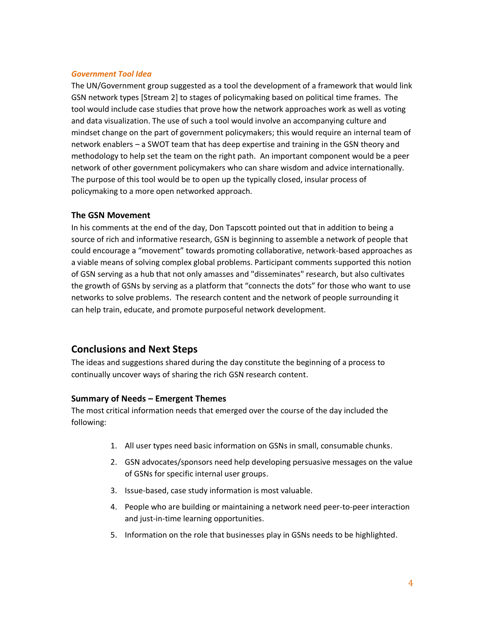#### *Government Tool Idea*

The UN/Government group suggested as a tool the development of a framework that would link GSN network types [Stream 2] to stages of policymaking based on political time frames. The tool would include case studies that prove how the network approaches work as well as voting and data visualization. The use of such a tool would involve an accompanying culture and mindset change on the part of government policymakers; this would require an internal team of network enablers – a SWOT team that has deep expertise and training in the GSN theory and methodology to help set the team on the right path. An important component would be a peer network of other government policymakers who can share wisdom and advice internationally. The purpose of this tool would be to open up the typically closed, insular process of policymaking to a more open networked approach.

#### **The GSN Movement**

In his comments at the end of the day, Don Tapscott pointed out that in addition to being a source of rich and informative research, GSN is beginning to assemble a network of people that could encourage a "movement" towards promoting collaborative, network-based approaches as a viable means of solving complex global problems. Participant comments supported this notion of GSN serving as a hub that not only amasses and "disseminates" research, but also cultivates the growth of GSNs by serving as a platform that "connects the dots" for those who want to use networks to solve problems. The research content and the network of people surrounding it can help train, educate, and promote purposeful network development.

## **Conclusions and Next Steps**

The ideas and suggestions shared during the day constitute the beginning of a process to continually uncover ways of sharing the rich GSN research content.

### **Summary of Needs – Emergent Themes**

The most critical information needs that emerged over the course of the day included the following:

- 1. All user types need basic information on GSNs in small, consumable chunks.
- 2. GSN advocates/sponsors need help developing persuasive messages on the value of GSNs for specific internal user groups.
- 3. Issue-based, case study information is most valuable.
- 4. People who are building or maintaining a network need peer-to-peer interaction and just-in-time learning opportunities.
- 5. Information on the role that businesses play in GSNs needs to be highlighted.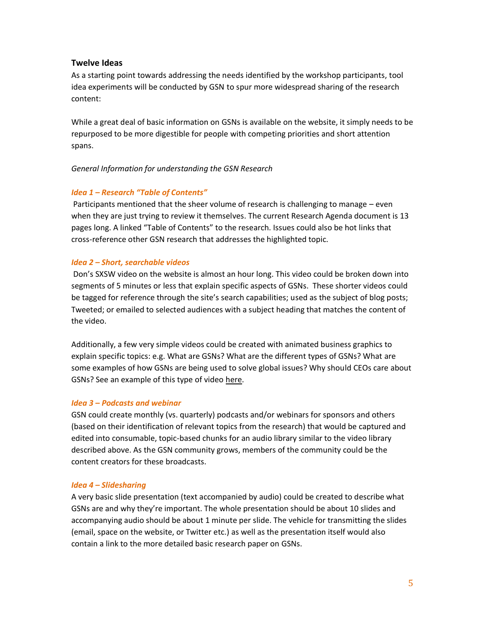#### **Twelve Ideas**

As a starting point towards addressing the needs identified by the workshop participants, tool idea experiments will be conducted by GSN to spur more widespread sharing of the research content:

While a great deal of basic information on GSNs is available on the website, it simply needs to be repurposed to be more digestible for people with competing priorities and short attention spans.

#### *General Information for understanding the GSN Research*

### *Idea 1 – Research "Table of Contents"*

Participants mentioned that the sheer volume of research is challenging to manage – even when they are just trying to review it themselves. The current Research Agenda document is 13 pages long. A linked "Table of Contents" to the research. Issues could also be hot links that cross-reference other GSN research that addresses the highlighted topic.

#### *Idea 2 – Short, searchable videos*

Don's SXSW video on the website is almost an hour long. This video could be broken down into segments of 5 minutes or less that explain specific aspects of GSNs. These shorter videos could be tagged for reference through the site's search capabilities; used as the subject of blog posts; Tweeted; or emailed to selected audiences with a subject heading that matches the content of the video.

Additionally, a few very simple videos could be created with animated business graphics to explain specific topics: e.g. What are GSNs? What are the different types of GSNs? What are some examples of how GSNs are being used to solve global issues? Why should CEOs care about GSNs? See an example of this type of video [here.](http://www.youtube.com/watch?v=u6XAPnuFjJc)

#### *Idea 3 – Podcasts and webinar*

GSN could create monthly (vs. quarterly) podcasts and/or webinars for sponsors and others (based on their identification of relevant topics from the research) that would be captured and edited into consumable, topic-based chunks for an audio library similar to the video library described above. As the GSN community grows, members of the community could be the content creators for these broadcasts.

#### *Idea 4 – Slidesharing*

A very basic slide presentation (text accompanied by audio) could be created to describe what GSNs are and why they're important. The whole presentation should be about 10 slides and accompanying audio should be about 1 minute per slide. The vehicle for transmitting the slides (email, space on the website, or Twitter etc.) as well as the presentation itself would also contain a link to the more detailed basic research paper on GSNs.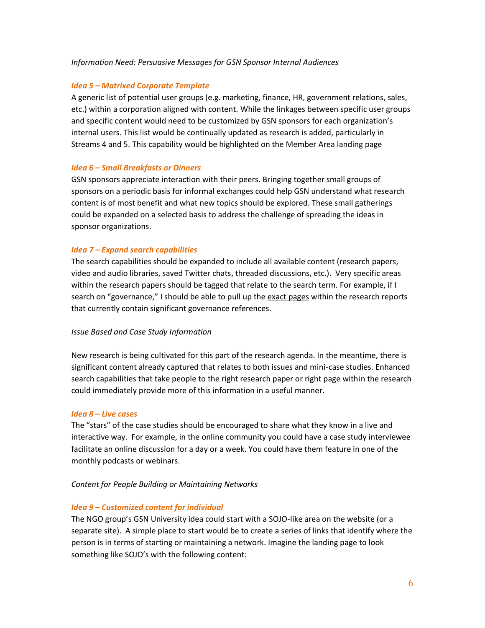#### *Information Need: Persuasive Messages for GSN Sponsor Internal Audiences*

#### *Idea 5 – Matrixed Corporate Template*

A generic list of potential user groups (e.g. marketing, finance, HR, government relations, sales, etc.) within a corporation aligned with content. While the linkages between specific user groups and specific content would need to be customized by GSN sponsors for each organization's internal users. This list would be continually updated as research is added, particularly in Streams 4 and 5. This capability would be highlighted on the Member Area landing page

#### *Idea 6 – Small Breakfasts or Dinners*

GSN sponsors appreciate interaction with their peers. Bringing together small groups of sponsors on a periodic basis for informal exchanges could help GSN understand what research content is of most benefit and what new topics should be explored. These small gatherings could be expanded on a selected basis to address the challenge of spreading the ideas in sponsor organizations.

#### *Idea 7 – Expand search capabilities*

The search capabilities should be expanded to include all available content (research papers, video and audio libraries, saved Twitter chats, threaded discussions, etc.). Very specific areas within the research papers should be tagged that relate to the search term. For example, if I search on "governance," I should be able to pull up the exact pages within the research reports that currently contain significant governance references.

#### *Issue Based and Case Study Information*

New research is being cultivated for this part of the research agenda. In the meantime, there is significant content already captured that relates to both issues and mini-case studies. Enhanced search capabilities that take people to the right research paper or right page within the research could immediately provide more of this information in a useful manner.

#### *Idea 8 – Live cases*

The "stars" of the case studies should be encouraged to share what they know in a live and interactive way. For example, in the online community you could have a case study interviewee facilitate an online discussion for a day or a week. You could have them feature in one of the monthly podcasts or webinars.

#### *Content for People Building or Maintaining Networks*

#### *Idea 9 – Customized content for individual*

The NGO group's GSN University idea could start with a SOJO-like area on the website (or a separate site). A simple place to start would be to create a series of links that identify where the person is in terms of starting or maintaining a network. Imagine the landing page to look something like SOJO's with the following content: